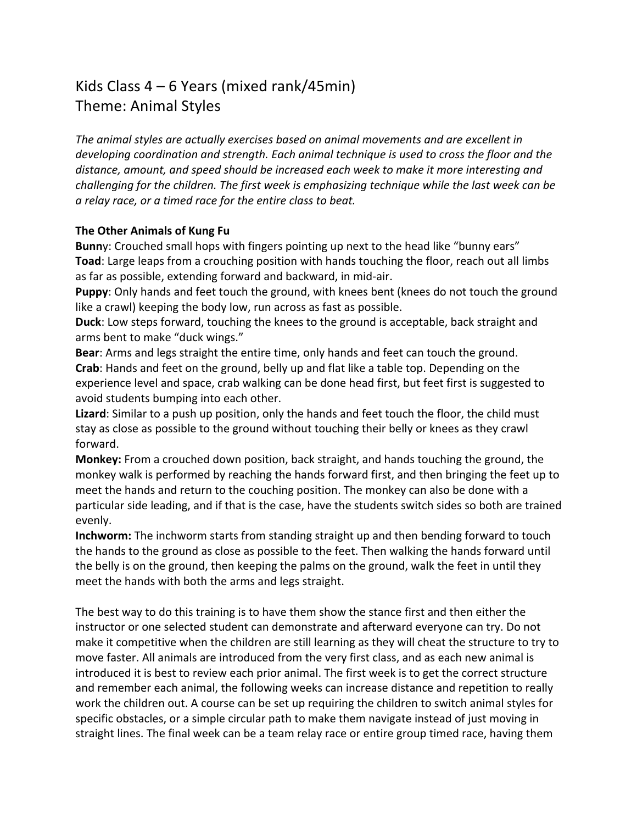## Kids Class  $4 - 6$  Years (mixed rank/45min) Theme: Animal Styles

The animal styles are actually exercises based on animal movements and are excellent in *developing coordination and strength. Each animal technique is used to cross the floor and the* distance, amount, and speed should be increased each week to make it more interesting and *challenging for the children. The first week is emphasizing technique while the last week can be a relay race, or a timed race for the entire class to beat.*

## **The Other Animals of Kung Fu**

**Bunn**y: Crouched small hops with fingers pointing up next to the head like "bunny ears" **Toad**: Large leaps from a crouching position with hands touching the floor, reach out all limbs as far as possible, extending forward and backward, in mid-air.

**Puppy**: Only hands and feet touch the ground, with knees bent (knees do not touch the ground like a crawl) keeping the body low, run across as fast as possible.

**Duck**: Low steps forward, touching the knees to the ground is acceptable, back straight and arms bent to make "duck wings."

**Bear:** Arms and legs straight the entire time, only hands and feet can touch the ground. **Crab**: Hands and feet on the ground, belly up and flat like a table top. Depending on the experience level and space, crab walking can be done head first, but feet first is suggested to avoid students bumping into each other.

**Lizard**: Similar to a push up position, only the hands and feet touch the floor, the child must stay as close as possible to the ground without touching their belly or knees as they crawl forward.

**Monkey:** From a crouched down position, back straight, and hands touching the ground, the monkey walk is performed by reaching the hands forward first, and then bringing the feet up to meet the hands and return to the couching position. The monkey can also be done with a particular side leading, and if that is the case, have the students switch sides so both are trained evenly.

**Inchworm:** The inchworm starts from standing straight up and then bending forward to touch the hands to the ground as close as possible to the feet. Then walking the hands forward until the belly is on the ground, then keeping the palms on the ground, walk the feet in until they meet the hands with both the arms and legs straight.

The best way to do this training is to have them show the stance first and then either the instructor or one selected student can demonstrate and afterward everyone can try. Do not make it competitive when the children are still learning as they will cheat the structure to try to move faster. All animals are introduced from the very first class, and as each new animal is introduced it is best to review each prior animal. The first week is to get the correct structure and remember each animal, the following weeks can increase distance and repetition to really work the children out. A course can be set up requiring the children to switch animal styles for specific obstacles, or a simple circular path to make them navigate instead of just moving in straight lines. The final week can be a team relay race or entire group timed race, having them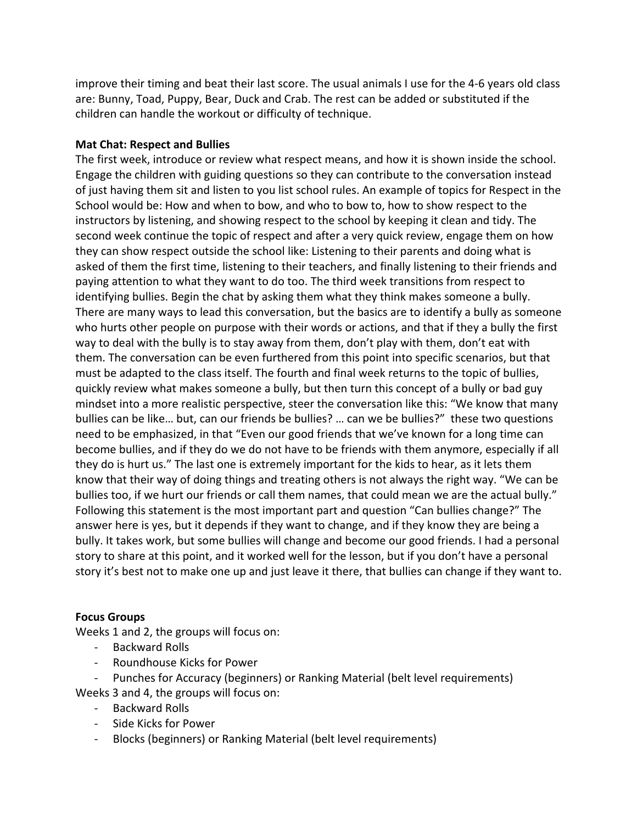improve their timing and beat their last score. The usual animals I use for the 4-6 years old class are: Bunny, Toad, Puppy, Bear, Duck and Crab. The rest can be added or substituted if the children can handle the workout or difficulty of technique.

## **Mat Chat: Respect and Bullies**

The first week, introduce or review what respect means, and how it is shown inside the school. Engage the children with guiding questions so they can contribute to the conversation instead of just having them sit and listen to you list school rules. An example of topics for Respect in the School would be: How and when to bow, and who to bow to, how to show respect to the instructors by listening, and showing respect to the school by keeping it clean and tidy. The second week continue the topic of respect and after a very quick review, engage them on how they can show respect outside the school like: Listening to their parents and doing what is asked of them the first time, listening to their teachers, and finally listening to their friends and paying attention to what they want to do too. The third week transitions from respect to identifying bullies. Begin the chat by asking them what they think makes someone a bully. There are many ways to lead this conversation, but the basics are to identify a bully as someone who hurts other people on purpose with their words or actions, and that if they a bully the first way to deal with the bully is to stay away from them, don't play with them, don't eat with them. The conversation can be even furthered from this point into specific scenarios, but that must be adapted to the class itself. The fourth and final week returns to the topic of bullies, quickly review what makes someone a bully, but then turn this concept of a bully or bad guy mindset into a more realistic perspective, steer the conversation like this: "We know that many bullies can be like... but, can our friends be bullies? ... can we be bullies?" these two questions need to be emphasized, in that "Even our good friends that we've known for a long time can become bullies, and if they do we do not have to be friends with them anymore, especially if all they do is hurt us." The last one is extremely important for the kids to hear, as it lets them know that their way of doing things and treating others is not always the right way. "We can be bullies too, if we hurt our friends or call them names, that could mean we are the actual bully." Following this statement is the most important part and question "Can bullies change?" The answer here is yes, but it depends if they want to change, and if they know they are being a bully. It takes work, but some bullies will change and become our good friends. I had a personal story to share at this point, and it worked well for the lesson, but if you don't have a personal story it's best not to make one up and just leave it there, that bullies can change if they want to.

## **Focus Groups**

Weeks 1 and 2, the groups will focus on:

- Backward Rolls
- Roundhouse Kicks for Power
- Punches for Accuracy (beginners) or Ranking Material (belt level requirements)

Weeks 3 and 4, the groups will focus on:

- Backward Rolls
- Side Kicks for Power
- Blocks (beginners) or Ranking Material (belt level requirements)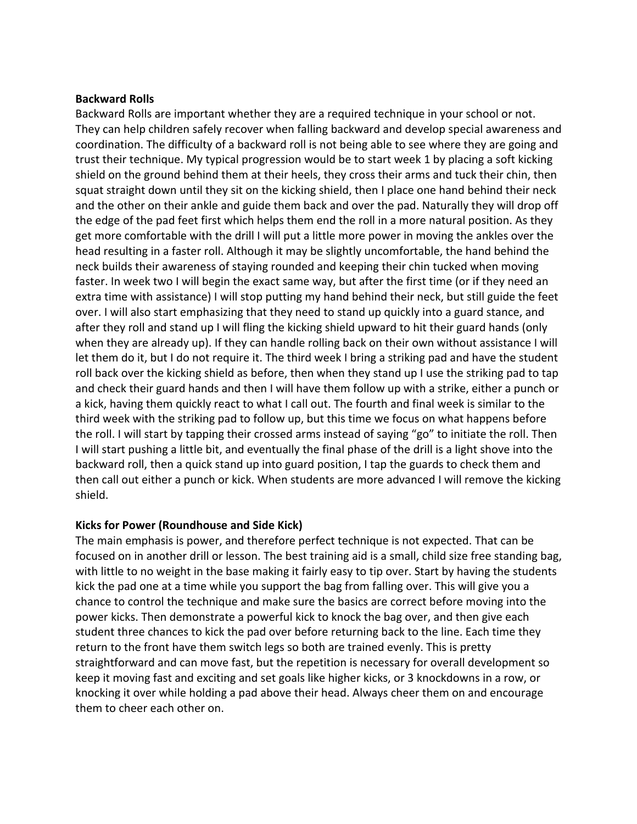### **Backward Rolls**

Backward Rolls are important whether they are a required technique in your school or not. They can help children safely recover when falling backward and develop special awareness and coordination. The difficulty of a backward roll is not being able to see where they are going and trust their technique. My typical progression would be to start week 1 by placing a soft kicking shield on the ground behind them at their heels, they cross their arms and tuck their chin, then squat straight down until they sit on the kicking shield, then I place one hand behind their neck and the other on their ankle and guide them back and over the pad. Naturally they will drop off the edge of the pad feet first which helps them end the roll in a more natural position. As they get more comfortable with the drill I will put a little more power in moving the ankles over the head resulting in a faster roll. Although it may be slightly uncomfortable, the hand behind the neck builds their awareness of staying rounded and keeping their chin tucked when moving faster. In week two I will begin the exact same way, but after the first time (or if they need an extra time with assistance) I will stop putting my hand behind their neck, but still guide the feet over. I will also start emphasizing that they need to stand up quickly into a guard stance, and after they roll and stand up I will fling the kicking shield upward to hit their guard hands (only when they are already up). If they can handle rolling back on their own without assistance I will let them do it, but I do not require it. The third week I bring a striking pad and have the student roll back over the kicking shield as before, then when they stand up I use the striking pad to tap and check their guard hands and then I will have them follow up with a strike, either a punch or a kick, having them quickly react to what I call out. The fourth and final week is similar to the third week with the striking pad to follow up, but this time we focus on what happens before the roll. I will start by tapping their crossed arms instead of saying "go" to initiate the roll. Then I will start pushing a little bit, and eventually the final phase of the drill is a light shove into the backward roll, then a quick stand up into guard position, I tap the guards to check them and then call out either a punch or kick. When students are more advanced I will remove the kicking shield.

## **Kicks for Power (Roundhouse and Side Kick)**

The main emphasis is power, and therefore perfect technique is not expected. That can be focused on in another drill or lesson. The best training aid is a small, child size free standing bag, with little to no weight in the base making it fairly easy to tip over. Start by having the students kick the pad one at a time while you support the bag from falling over. This will give you a chance to control the technique and make sure the basics are correct before moving into the power kicks. Then demonstrate a powerful kick to knock the bag over, and then give each student three chances to kick the pad over before returning back to the line. Each time they return to the front have them switch legs so both are trained evenly. This is pretty straightforward and can move fast, but the repetition is necessary for overall development so keep it moving fast and exciting and set goals like higher kicks, or 3 knockdowns in a row, or knocking it over while holding a pad above their head. Always cheer them on and encourage them to cheer each other on.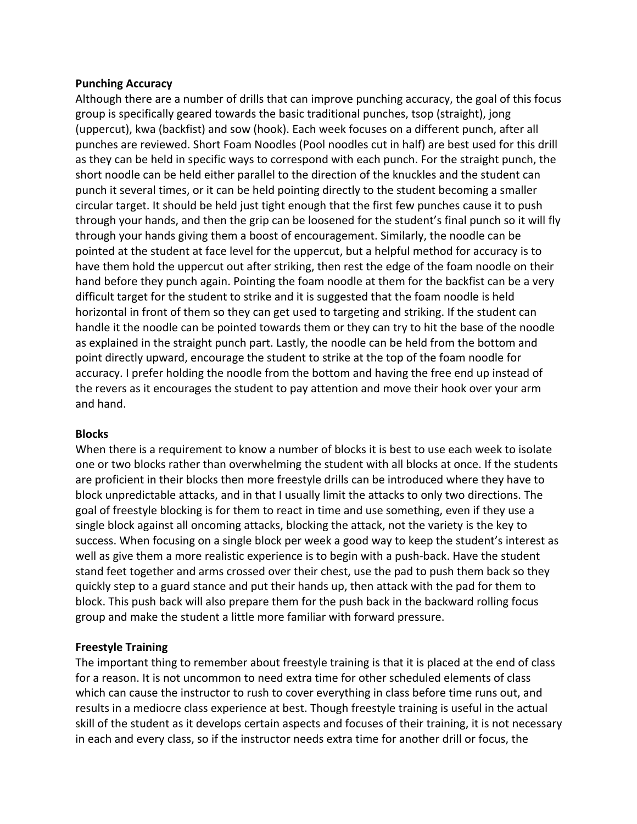## **Punching Accuracy**

Although there are a number of drills that can improve punching accuracy, the goal of this focus group is specifically geared towards the basic traditional punches, tsop (straight), jong (uppercut), kwa (backfist) and sow (hook). Each week focuses on a different punch, after all punches are reviewed. Short Foam Noodles (Pool noodles cut in half) are best used for this drill as they can be held in specific ways to correspond with each punch. For the straight punch, the short noodle can be held either parallel to the direction of the knuckles and the student can punch it several times, or it can be held pointing directly to the student becoming a smaller circular target. It should be held just tight enough that the first few punches cause it to push through your hands, and then the grip can be loosened for the student's final punch so it will fly through your hands giving them a boost of encouragement. Similarly, the noodle can be pointed at the student at face level for the uppercut, but a helpful method for accuracy is to have them hold the uppercut out after striking, then rest the edge of the foam noodle on their hand before they punch again. Pointing the foam noodle at them for the backfist can be a very difficult target for the student to strike and it is suggested that the foam noodle is held horizontal in front of them so they can get used to targeting and striking. If the student can handle it the noodle can be pointed towards them or they can try to hit the base of the noodle as explained in the straight punch part. Lastly, the noodle can be held from the bottom and point directly upward, encourage the student to strike at the top of the foam noodle for accuracy. I prefer holding the noodle from the bottom and having the free end up instead of the revers as it encourages the student to pay attention and move their hook over your arm and hand.

#### **Blocks**

When there is a requirement to know a number of blocks it is best to use each week to isolate one or two blocks rather than overwhelming the student with all blocks at once. If the students are proficient in their blocks then more freestyle drills can be introduced where they have to block unpredictable attacks, and in that I usually limit the attacks to only two directions. The goal of freestyle blocking is for them to react in time and use something, even if they use a single block against all oncoming attacks, blocking the attack, not the variety is the key to success. When focusing on a single block per week a good way to keep the student's interest as well as give them a more realistic experience is to begin with a push-back. Have the student stand feet together and arms crossed over their chest, use the pad to push them back so they quickly step to a guard stance and put their hands up, then attack with the pad for them to block. This push back will also prepare them for the push back in the backward rolling focus group and make the student a little more familiar with forward pressure.

## **Freestyle Training**

The important thing to remember about freestyle training is that it is placed at the end of class for a reason. It is not uncommon to need extra time for other scheduled elements of class which can cause the instructor to rush to cover everything in class before time runs out, and results in a mediocre class experience at best. Though freestyle training is useful in the actual skill of the student as it develops certain aspects and focuses of their training, it is not necessary in each and every class, so if the instructor needs extra time for another drill or focus, the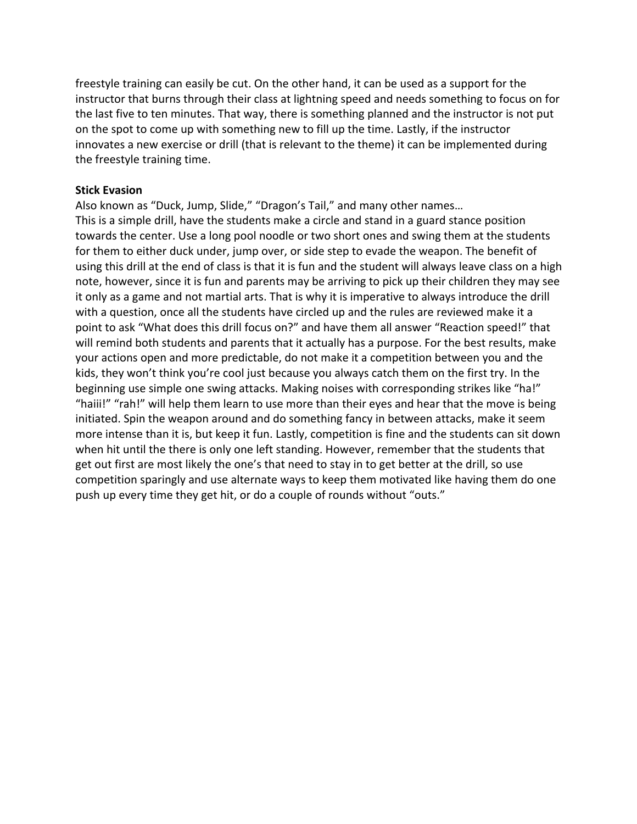freestyle training can easily be cut. On the other hand, it can be used as a support for the instructor that burns through their class at lightning speed and needs something to focus on for the last five to ten minutes. That way, there is something planned and the instructor is not put on the spot to come up with something new to fill up the time. Lastly, if the instructor innovates a new exercise or drill (that is relevant to the theme) it can be implemented during the freestyle training time.

#### **Stick Evasion**

Also known as "Duck, Jump, Slide," "Dragon's Tail," and many other names... This is a simple drill, have the students make a circle and stand in a guard stance position towards the center. Use a long pool noodle or two short ones and swing them at the students for them to either duck under, jump over, or side step to evade the weapon. The benefit of using this drill at the end of class is that it is fun and the student will always leave class on a high note, however, since it is fun and parents may be arriving to pick up their children they may see it only as a game and not martial arts. That is why it is imperative to always introduce the drill with a question, once all the students have circled up and the rules are reviewed make it a point to ask "What does this drill focus on?" and have them all answer "Reaction speed!" that will remind both students and parents that it actually has a purpose. For the best results, make your actions open and more predictable, do not make it a competition between you and the kids, they won't think you're cool just because you always catch them on the first try. In the beginning use simple one swing attacks. Making noises with corresponding strikes like "ha!" "haiii!" "rah!" will help them learn to use more than their eyes and hear that the move is being initiated. Spin the weapon around and do something fancy in between attacks, make it seem more intense than it is, but keep it fun. Lastly, competition is fine and the students can sit down when hit until the there is only one left standing. However, remember that the students that get out first are most likely the one's that need to stay in to get better at the drill, so use competition sparingly and use alternate ways to keep them motivated like having them do one push up every time they get hit, or do a couple of rounds without "outs."